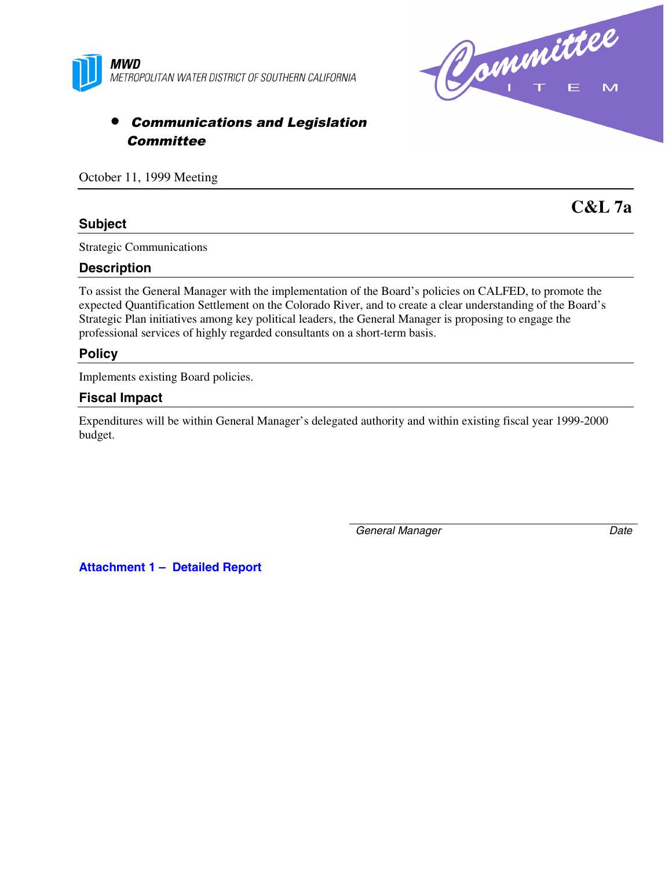



# • Communications and Legislation **Committee**

October 11, 1999 Meeting

# **Subject**

**C&L 7a**

Strategic Communications

### **Description**

To assist the General Manager with the implementation of the Board's policies on CALFED, to promote the expected Quantification Settlement on the Colorado River, and to create a clear understanding of the Board's Strategic Plan initiatives among key political leaders, the General Manager is proposing to engage the professional services of highly regarded consultants on a short-term basis.

#### **Policy**

Implements existing Board policies.

#### **Fiscal Impact**

Expenditures will be within General Manager's delegated authority and within existing fiscal year 1999-2000 budget.

*General Manager Date*

**Attachment 1 – Detailed Report**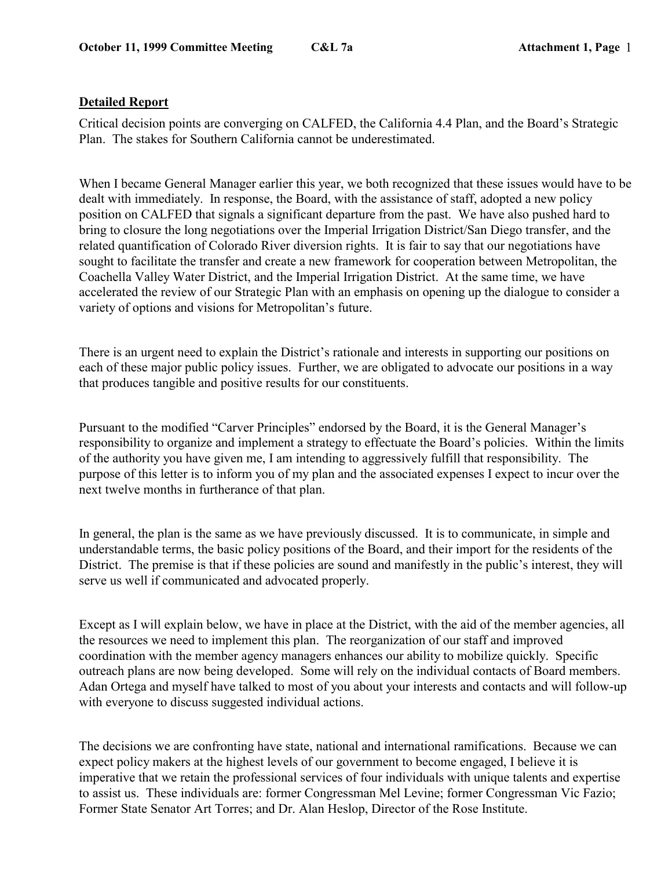## **Detailed Report**

Critical decision points are converging on CALFED, the California 4.4 Plan, and the Board's Strategic Plan. The stakes for Southern California cannot be underestimated.

When I became General Manager earlier this year, we both recognized that these issues would have to be dealt with immediately. In response, the Board, with the assistance of staff, adopted a new policy position on CALFED that signals a significant departure from the past. We have also pushed hard to bring to closure the long negotiations over the Imperial Irrigation District/San Diego transfer, and the related quantification of Colorado River diversion rights. It is fair to say that our negotiations have sought to facilitate the transfer and create a new framework for cooperation between Metropolitan, the Coachella Valley Water District, and the Imperial Irrigation District. At the same time, we have accelerated the review of our Strategic Plan with an emphasis on opening up the dialogue to consider a variety of options and visions for Metropolitan's future.

There is an urgent need to explain the District's rationale and interests in supporting our positions on each of these major public policy issues. Further, we are obligated to advocate our positions in a way that produces tangible and positive results for our constituents.

Pursuant to the modified "Carver Principles" endorsed by the Board, it is the General Manager's responsibility to organize and implement a strategy to effectuate the Board's policies. Within the limits of the authority you have given me, I am intending to aggressively fulfill that responsibility. The purpose of this letter is to inform you of my plan and the associated expenses I expect to incur over the next twelve months in furtherance of that plan.

In general, the plan is the same as we have previously discussed. It is to communicate, in simple and understandable terms, the basic policy positions of the Board, and their import for the residents of the District. The premise is that if these policies are sound and manifestly in the public's interest, they will serve us well if communicated and advocated properly.

Except as I will explain below, we have in place at the District, with the aid of the member agencies, all the resources we need to implement this plan. The reorganization of our staff and improved coordination with the member agency managers enhances our ability to mobilize quickly. Specific outreach plans are now being developed. Some will rely on the individual contacts of Board members. Adan Ortega and myself have talked to most of you about your interests and contacts and will follow-up with everyone to discuss suggested individual actions.

The decisions we are confronting have state, national and international ramifications. Because we can expect policy makers at the highest levels of our government to become engaged, I believe it is imperative that we retain the professional services of four individuals with unique talents and expertise to assist us. These individuals are: former Congressman Mel Levine; former Congressman Vic Fazio; Former State Senator Art Torres; and Dr. Alan Heslop, Director of the Rose Institute.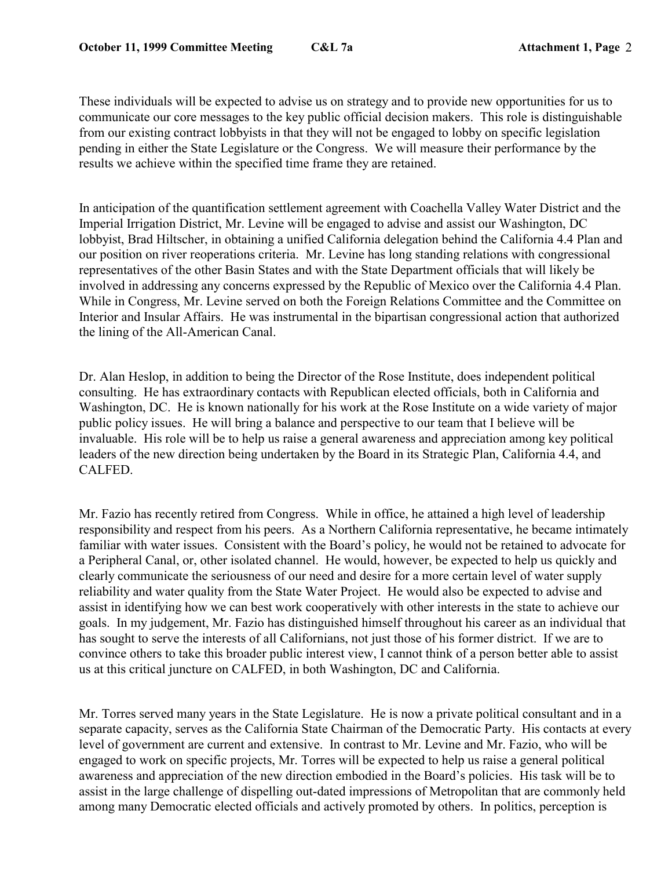These individuals will be expected to advise us on strategy and to provide new opportunities for us to communicate our core messages to the key public official decision makers. This role is distinguishable from our existing contract lobbyists in that they will not be engaged to lobby on specific legislation pending in either the State Legislature or the Congress. We will measure their performance by the results we achieve within the specified time frame they are retained.

In anticipation of the quantification settlement agreement with Coachella Valley Water District and the Imperial Irrigation District, Mr. Levine will be engaged to advise and assist our Washington, DC lobbyist, Brad Hiltscher, in obtaining a unified California delegation behind the California 4.4 Plan and our position on river reoperations criteria. Mr. Levine has long standing relations with congressional representatives of the other Basin States and with the State Department officials that will likely be involved in addressing any concerns expressed by the Republic of Mexico over the California 4.4 Plan. While in Congress, Mr. Levine served on both the Foreign Relations Committee and the Committee on Interior and Insular Affairs. He was instrumental in the bipartisan congressional action that authorized the lining of the All-American Canal.

Dr. Alan Heslop, in addition to being the Director of the Rose Institute, does independent political consulting. He has extraordinary contacts with Republican elected officials, both in California and Washington, DC. He is known nationally for his work at the Rose Institute on a wide variety of major public policy issues. He will bring a balance and perspective to our team that I believe will be invaluable. His role will be to help us raise a general awareness and appreciation among key political leaders of the new direction being undertaken by the Board in its Strategic Plan, California 4.4, and CALFED.

Mr. Fazio has recently retired from Congress. While in office, he attained a high level of leadership responsibility and respect from his peers. As a Northern California representative, he became intimately familiar with water issues. Consistent with the Board's policy, he would not be retained to advocate for a Peripheral Canal, or, other isolated channel. He would, however, be expected to help us quickly and clearly communicate the seriousness of our need and desire for a more certain level of water supply reliability and water quality from the State Water Project. He would also be expected to advise and assist in identifying how we can best work cooperatively with other interests in the state to achieve our goals. In my judgement, Mr. Fazio has distinguished himself throughout his career as an individual that has sought to serve the interests of all Californians, not just those of his former district. If we are to convince others to take this broader public interest view, I cannot think of a person better able to assist us at this critical juncture on CALFED, in both Washington, DC and California.

Mr. Torres served many years in the State Legislature. He is now a private political consultant and in a separate capacity, serves as the California State Chairman of the Democratic Party. His contacts at every level of government are current and extensive. In contrast to Mr. Levine and Mr. Fazio, who will be engaged to work on specific projects, Mr. Torres will be expected to help us raise a general political awareness and appreciation of the new direction embodied in the Board's policies. His task will be to assist in the large challenge of dispelling out-dated impressions of Metropolitan that are commonly held among many Democratic elected officials and actively promoted by others. In politics, perception is